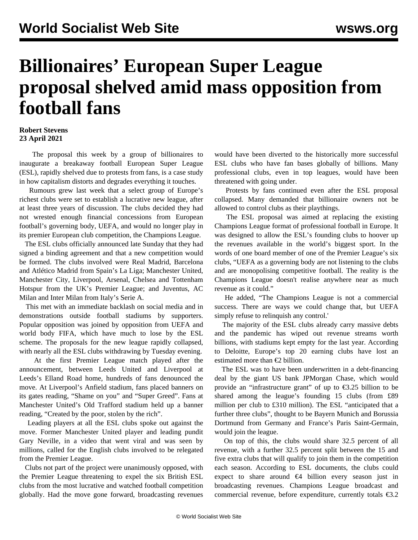## **Billionaires' European Super League proposal shelved amid mass opposition from football fans**

## **Robert Stevens 23 April 2021**

 The proposal this week by a group of billionaires to inaugurate a breakaway football European Super League (ESL), rapidly shelved due to protests from fans, is a case study in how capitalism distorts and degrades everything it touches.

 Rumours grew last week that a select group of Europe's richest clubs were set to establish a lucrative new league, after at least three years of discussion. The clubs decided they had not wrested enough financial concessions from European football's governing body, UEFA, and would no longer play in its premier European club competition, the Champions League.

 The ESL clubs officially announced late Sunday that they had signed a binding agreement and that a new competition would be formed. The clubs involved were Real Madrid, Barcelona and Atlético Madrid from Spain's La Liga; Manchester United, Manchester City, Liverpool, Arsenal, Chelsea and Tottenham Hotspur from the UK's Premier League; and Juventus, AC Milan and Inter Milan from Italy's Serie A.

 This met with an immediate backlash on social media and in demonstrations outside football stadiums by supporters. Popular opposition was joined by opposition from UEFA and world body FIFA, which have much to lose by the ESL scheme. The proposals for the new league rapidly collapsed, with nearly all the ESL clubs withdrawing by Tuesday evening.

 At the first Premier League match played after the announcement, between Leeds United and Liverpool at Leeds's Elland Road home, hundreds of fans denounced the move. At Liverpool's Anfield stadium, fans placed banners on its gates reading, "Shame on you" and "Super Greed". Fans at Manchester United's Old Trafford stadium held up a banner reading, "Created by the poor, stolen by the rich".

 Leading players at all the ESL clubs spoke out against the move. Former Manchester United player and leading pundit Gary Neville, in a [video](https://www.youtube.com/watch?v=GP05EDm9EB8) that went viral and was seen by millions, called for the English clubs involved to be relegated from the Premier League.

 Clubs not part of the project were unanimously opposed, with the Premier League threatening to expel the six British ESL clubs from the most lucrative and watched football competition globally. Had the move gone forward, broadcasting revenues would have been diverted to the historically more successful ESL clubs who have fan bases globally of billions. Many professional clubs, even in top leagues, would have been threatened with going under.

 Protests by fans continued even after the ESL proposal collapsed. Many demanded that billionaire owners not be allowed to control clubs as their playthings.

 The ESL proposal was aimed at replacing the existing Champions League format of professional football in Europe. It was designed to allow the ESL's founding clubs to hoover up the revenues available in the world's biggest sport. In the words of one board member of one of the Premier League's six clubs, "UEFA as a governing body are not listening to the clubs and are monopolising competitive football. The reality is the Champions League doesn't realise anywhere near as much revenue as it could."

 He added, "The Champions League is not a commercial success. There are ways we could change that, but UEFA simply refuse to relinquish any control.'

 The majority of the ESL clubs already carry massive debts and the pandemic has wiped out revenue streams worth billions, with stadiums kept empty for the last year. According to Deloitte, Europe's top 20 earning clubs have lost an estimated more than €2 billion.

 The ESL was to have been underwritten in a debt-financing deal by the giant US bank JPMorgan Chase, which would provide an "infrastructure grant" of up to  $\epsilon$ 3.25 billion to be shared among the league's founding 15 clubs (from £89 million per club to £310 million). The ESL "anticipated that a further three clubs", thought to be Bayern Munich and Borussia Dortmund from Germany and France's Paris Saint-Germain, would join the league.

 On top of this, the clubs would share 32.5 percent of all revenue, with a further 32.5 percent split between the 15 and five extra clubs that will qualify to join them in the competition each season. According to ESL documents, the clubs could expect to share around  $\epsilon$ 4 billion every season just in broadcasting revenues. Champions League broadcast and commercial revenue, before expenditure, currently totals  $\epsilon$ 3.2